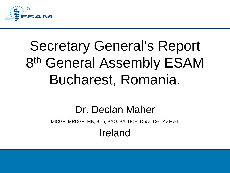

## Secretary General's Report 8<sup>th</sup> General Assembly ESAM Bucharest, Romania.

#### Dr. Declan Maher

MICGP, MRCGP, MB, BCh, BAO. BA, DCH, Dobs, Cert Av Med.

Ireland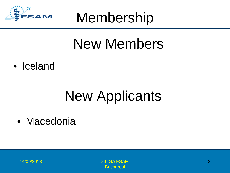

#### Membership

#### New Members

• Iceland

## New Applicants

• Macedonia

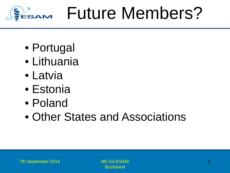

# Future Members?

- Portugal
- Lithuania
- Latvia
- Estonia
- Poland
- Other States and Associations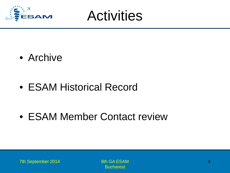



• Archive

• ESAM Historical Record

• ESAM Member Contact review

**Bucharest**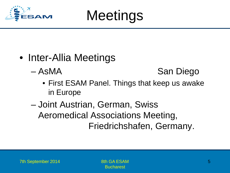

#### Meetings

- Inter-Allia Meetings
	-

```
– AsMA San Diego
```
- First ESAM Panel. Things that keep us awake in Europe
- Joint Austrian, German, Swiss Aeromedical Associations Meeting, Friedrichshafen, Germany.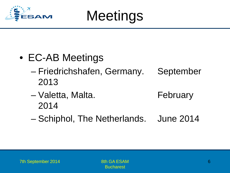

#### **Meetings**

- EC-AB Meetings
	- Friedrichshafen, Germany. September 2013
	- Valetta, Malta. February 2014
	- Schiphol, The Netherlands. June 2014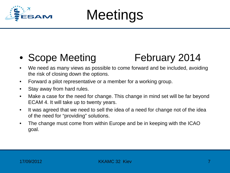

## Meetings

#### • Scope Meeting February 2014

- We need as many views as possible to come forward and be included, avoiding the risk of closing down the options.
- Forward a pilot representative or a member for a working group.
- Stay away from hard rules.
- Make a case for the need for change. This change in mind set will be far beyond ECAM 4. It will take up to twenty years.
- It was agreed that we need to sell the idea of a need for change not of the idea of the need for "providing" solutions.
- The change must come from within Europe and be in keeping with the ICAO goal.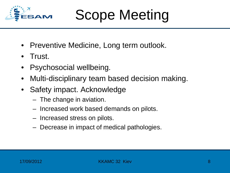

## Scope Meeting

- Preventive Medicine, Long term outlook.
- Trust.
- Psychosocial wellbeing.
- Multi-disciplinary team based decision making.
- Safety impact. Acknowledge
	- The change in aviation.
	- Increased work based demands on pilots.
	- Increased stress on pilots.
	- Decrease in impact of medical pathologies.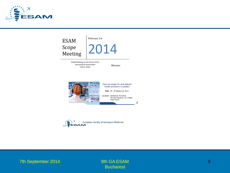

ESAM Scope Meeting



ESAM Meeting on the future of the Aeromedical Examination nedical Examination<br>Valetta, Malta. Minutes



How we screen for and prevent health problems in aviation

Date: 05 - 07 September 2014

Location: Bucharest, Romania Novotel Bucarest City Centre Paris Room

∠



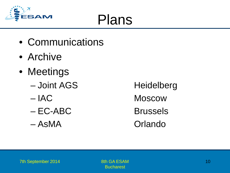

#### Plans

- Communications
- Archive
- Meetings
	- Joint AGS Heidelberg
	-
	- EC-ABC Brussels
	-

– IAC Moscow – AsMA Orlando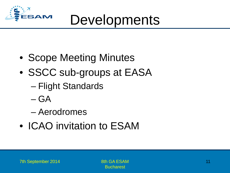

- Scope Meeting Minutes
- SSCC sub-groups at EASA
	- Flight Standards
	- GA
	- Aerodromes
- ICAO invitation to ESAM